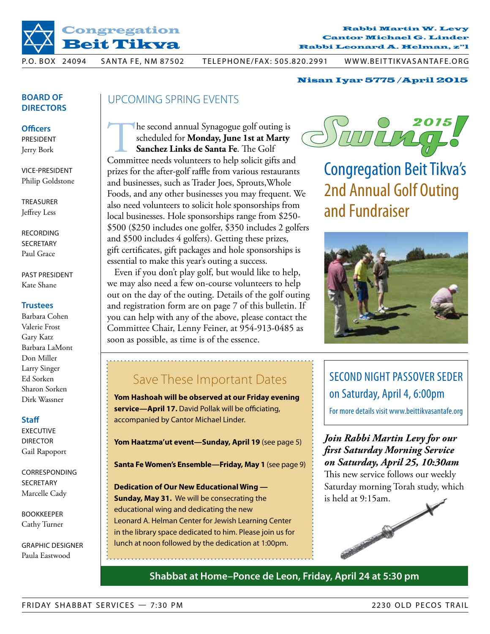

#### $$ Cantor Michael G. Linder Rabbi Martin W. Levy Rabbi Leonard A. Helman, z"l Chazzan Michael G. Linder

-<br>P.O. BOX 24094 SANTA FE, NM 87502 TELEPHONE/FAX: 505.820.2991 WWW.BEITTIKVASANTAFE.ORG

#### Nisan Iyar 5775 /April 2015

## **Board of Directors**

**Officers**

President Jerry Bork

vice-President Philip Goldstone

**TREASURER** Jeffrey Less

**RECORDING SECRETARY** Paul Grace

past president Kate Shane

#### **Trustees**

Barbara Cohen Valerie Frost Gary Katz Barbara LaMont Don Miller Larry Singer Ed Sorken Sharon Sorken Dirk Wassner

#### **Staff**

**EXECUTIVE DIRECTOR** Gail Rapoport

**CORRESPONDING** SECRETARY Marcelle Cady

Bookkeeper Cathy Turner

graphic designer Paula Eastwood

## upcoming spring events

The second annual Synagogue golf outing is<br>
scheduled for **Monday, June 1st at Marty**<br> **Sanchez Links de Santa Fe**. The Golf<br>
Committee needs volunteers to help solicit gifts and scheduled for **Monday, June 1st at Marty Sanchez Links de Santa Fe**. The Golf prizes for the after-golf raffle from various restaurants and businesses, such as Trader Joes, Sprouts,Whole Foods, and any other businesses you may frequent. We also need volunteers to solicit hole sponsorships from local businesses. Hole sponsorships range from \$250- \$500 (\$250 includes one golfer, \$350 includes 2 golfers and \$500 includes 4 golfers). Getting these prizes, gift certificates, gift packages and hole sponsorships is essential to make this year's outing a success.

Even if you don't play golf, but would like to help, we may also need a few on-course volunteers to help out on the day of the outing. Details of the golf outing and registration form are on page 7 of this bulletin. If you can help with any of the above, please contact the Committee Chair, Lenny Feiner, at 954-913-0485 as soon as possible, as time is of the essence.



Congregation Beit Tikva's 2nd Annual Golf Outing and Fundraiser



## Save These Important Dates

**Yom Hashoah will be observed at our Friday evening service—April 17.** David Pollak will be officiating, accompanied by Cantor Michael Linder.

Yom Haatzma'ut event-Sunday, April 19 (see page 5)

**Santa Fe Women's Ensemble—Friday, May 1** (see page 9)

**Dedication of Our New Educational Wing — Sunday, May 31.** We will be consecrating the educational wing and dedicating the new Leonard A. Helman Center for Jewish Learning Center in the library space dedicated to him. Please join us for lunch at noon followed by the dedication at 1:00pm.

## Second Night Passover Seder on Saturday, April 4, 6:00pm

For more details visit www.beittikvasantafe.org

*Join Rabbi Martin Levy for our first Saturday Morning Service on Saturday, April 25, 10:30am*

This new service follows our weekly Saturday morning Torah study, which is held at 9:15am.

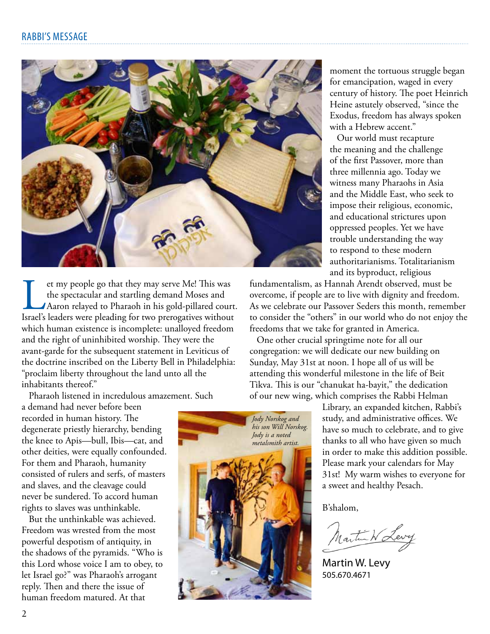

If the spectacular and startling demand Moses and Aaron relayed to Pharaoh in his gold-pillared court.<br>Israel's leaders were pleading for two prerogatives without the spectacular and startling demand Moses and Aaron relayed to Pharaoh in his gold-pillared court. which human existence is incomplete: unalloyed freedom and the right of uninhibited worship. They were the avant-garde for the subsequent statement in Leviticus of the doctrine inscribed on the Liberty Bell in Philadelphia: "proclaim liberty throughout the land unto all the inhabitants thereof."

Pharaoh listened in incredulous amazement. Such

a demand had never before been recorded in human history. The degenerate priestly hierarchy, bending the knee to Apis—bull, Ibis—cat, and other deities, were equally confounded. For them and Pharaoh, humanity consisted of rulers and serfs, of masters and slaves, and the cleavage could never be sundered. To accord human rights to slaves was unthinkable.

But the unthinkable was achieved. Freedom was wrested from the most powerful despotism of antiquity, in the shadows of the pyramids. "Who is this Lord whose voice I am to obey, to let Israel go?" was Pharaoh's arrogant reply. Then and there the issue of human freedom matured. At that

*Jody Norskog and his son Will Norskog. Jody is a noted metalsmith artist.*

moment the tortuous struggle began for emancipation, waged in every century of history. The poet Heinrich Heine astutely observed, "since the Exodus, freedom has always spoken with a Hebrew accent."

Our world must recapture the meaning and the challenge of the first Passover, more than three millennia ago. Today we witness many Pharaohs in Asia and the Middle East, who seek to impose their religious, economic, and educational strictures upon oppressed peoples. Yet we have trouble understanding the way to respond to these modern authoritarianisms. Totalitarianism and its byproduct, religious

fundamentalism, as Hannah Arendt observed, must be overcome, if people are to live with dignity and freedom. As we celebrate our Passover Seders this month, remember to consider the "others" in our world who do not enjoy the freedoms that we take for granted in America.

One other crucial springtime note for all our congregation: we will dedicate our new building on Sunday, May 31st at noon. I hope all of us will be attending this wonderful milestone in the life of Beit Tikva. This is our "chanukat ha-bayit," the dedication of our new wing, which comprises the Rabbi Helman

> Library, an expanded kitchen, Rabbi's study, and administrative offices. We have so much to celebrate, and to give thanks to all who have given so much in order to make this addition possible. Please mark your calendars for May 31st! My warm wishes to everyone for a sweet and healthy Pesach.

B'shalom,

Martin W Levy

Martin W. Levy 505.670.4671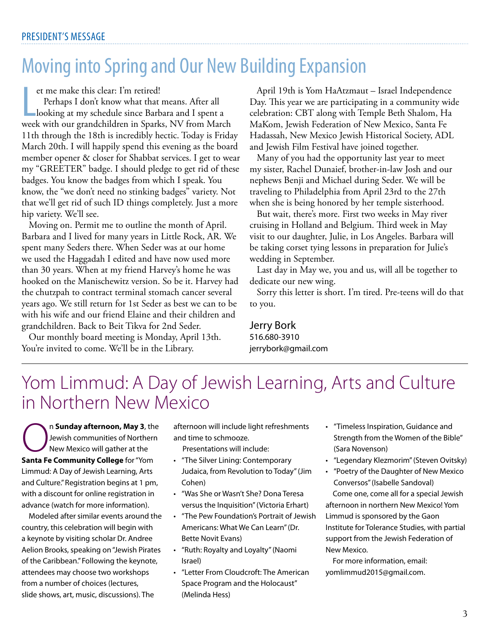# Moving into Spring and Our New Building Expansion

et me make this clear: I'm retired!

et me make this clear: I'm retired!<br>Perhaps I don't know what that means. After all<br>looking at my schedule since Barbara and I spent a<br>week with our grandchildren in Sparks, NV from March Perhaps I don't know what that means. After all looking at my schedule since Barbara and I spent a 11th through the 18th is incredibly hectic. Today is Friday March 20th. I will happily spend this evening as the board member opener & closer for Shabbat services. I get to wear my "GREETER" badge. I should pledge to get rid of these badges. You know the badges from which I speak. You know, the "we don't need no stinking badges" variety. Not that we'll get rid of such ID things completely. Just a more hip variety. We'll see.

Moving on. Permit me to outline the month of April. Barbara and I lived for many years in Little Rock, AR. We spent many Seders there. When Seder was at our home we used the Haggadah I edited and have now used more than 30 years. When at my friend Harvey's home he was hooked on the Manischewitz version. So be it. Harvey had the chutzpah to contract terminal stomach cancer several years ago. We still return for 1st Seder as best we can to be with his wife and our friend Elaine and their children and grandchildren. Back to Beit Tikva for 2nd Seder.

Our monthly board meeting is Monday, April 13th. You're invited to come. We'll be in the Library.

April 19th is Yom HaAtzmaut – Israel Independence Day. This year we are participating in a community wide celebration: CBT along with Temple Beth Shalom, Ha MaKom, Jewish Federation of New Mexico, Santa Fe Hadassah, New Mexico Jewish Historical Society, ADL and Jewish Film Festival have joined together.

Many of you had the opportunity last year to meet my sister, Rachel Dunaief, brother-in-law Josh and our nephews Benji and Michael during Seder. We will be traveling to Philadelphia from April 23rd to the 27th when she is being honored by her temple sisterhood.

But wait, there's more. First two weeks in May river cruising in Holland and Belgium. Third week in May visit to our daughter, Julie, in Los Angeles. Barbara will be taking corset tying lessons in preparation for Julie's wedding in September.

Last day in May we, you and us, will all be together to dedicate our new wing.

Sorry this letter is short. I'm tired. Pre-teens will do that to you.

Jerry Bork 516.680-3910 jerrybork@gmail.com

## Yom Limmud: A Day of Jewish Learning, Arts and Culture in Northern New Mexico

On **Sunday afternoon, May 3**, the Jewish communities of Northern New Mexico will gather at the **Santa Fe Community College** for "Yom Limmud: A Day of Jewish Learning, Arts and Culture." Registration begins at 1 pm, with a discount for online registration in advance (watch for more information).

Modeled after similar events around the country, this celebration will begin with a keynote by visiting scholar Dr. Andree Aelion Brooks, speaking on "Jewish Pirates of the Caribbean." Following the keynote, attendees may choose two workshops from a number of choices (lectures, slide shows, art, music, discussions). The

afternoon will include light refreshments and time to schmooze.

Presentations will include:

- • "The Silver Lining: Contemporary Judaica, from Revolution to Today" (Jim Cohen)
- • "Was She or Wasn't She? Dona Teresa versus the Inquisition" (Victoria Erhart)
- • "The Pew Foundation's Portrait of Jewish Americans: What We Can Learn" (Dr. Bette Novit Evans)
- • "Ruth: Royalty and Loyalty"(Naomi Israel)
- • "Letter From Cloudcroft: The American Space Program and the Holocaust" (Melinda Hess)
- • "Timeless Inspiration, Guidance and Strength from the Women of the Bible" (Sara Novenson)
- • "Legendary Klezmorim"(Steven Ovitsky)
- • "Poetry of the Daughter of New Mexico Conversos" (Isabelle Sandoval)

Come one, come all for a special Jewish afternoon in northern New Mexico! Yom Limmud is sponsored by the Gaon Institute for Tolerance Studies, with partial support from the Jewish Federation of New Mexico.

For more information, email: yomlimmud2015@gmail.com.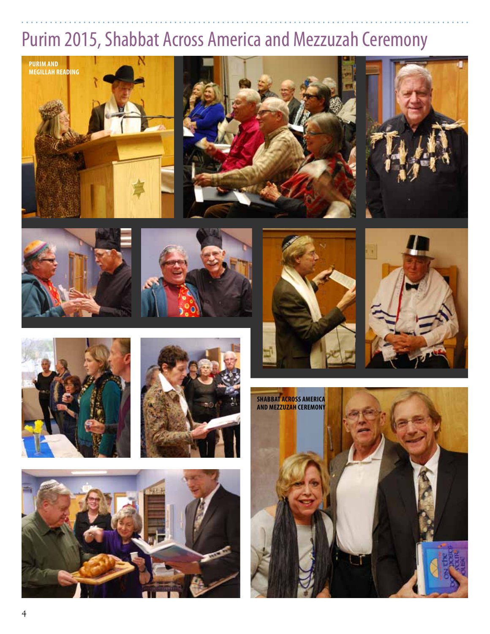# Purim 2015, Shabbat Across America and Mezzuzah Ceremony





















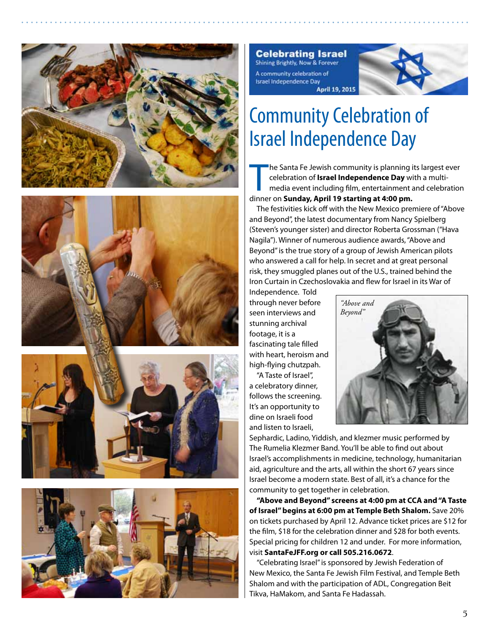







**Celebrating Israel** Shining Brightly, Now & Forever A community celebration of Israel Independence Day **April 19, 2015** 



# Community Celebration of Israel Independence Day

The Santa Fe Jewish community is planning incelebration of **Israel Independence Day** with media event including film, entertainment at dinner on **Sunday, April 19 starting at 4:00 pm.** he Santa Fe Jewish community is planning its largest ever celebration of **Israel Independence Day** with a multimedia event including film, entertainment and celebration

The festivities kick off with the New Mexico premiere of "Above and Beyond", the latest documentary from Nancy Spielberg (Steven's younger sister) and director Roberta Grossman ("Hava Nagila"). Winner of numerous audience awards, "Above and Beyond" is the true story of a group of Jewish American pilots who answered a call for help. In secret and at great personal risk, they smuggled planes out of the U.S., trained behind the Iron Curtain in Czechoslovakia and flew for Israel in its War of

Independence. Told through never before seen interviews and stunning archival footage, it is a fascinating tale filled with heart, heroism and high-flying chutzpah.

"A Taste of Israel", a celebratory dinner, follows the screening. It's an opportunity to dine on Israeli food and listen to Israeli,



Sephardic, Ladino, Yiddish, and klezmer music performed by The Rumelia Klezmer Band. You'll be able to find out about Israel's accomplishments in medicine, technology, humanitarian aid, agriculture and the arts, all within the short 67 years since Israel become a modern state. Best of all, it's a chance for the community to get together in celebration.

**"Above and Beyond" screens at 4:00 pm at CCA and "A Taste of Israel" begins at 6:00 pm at Temple Beth Shalom.** Save 20% on tickets purchased by April 12. Advance ticket prices are \$12 for the film, \$18 for the celebration dinner and \$28 for both events. Special pricing for children 12 and under. For more information, visit **SantaFeJFF.org or call 505.216.0672**.

"Celebrating Israel" is sponsored by Jewish Federation of New Mexico, the Santa Fe Jewish Film Festival, and Temple Beth Shalom and with the participation of ADL, Congregation Beit Tikva, HaMakom, and Santa Fe Hadassah.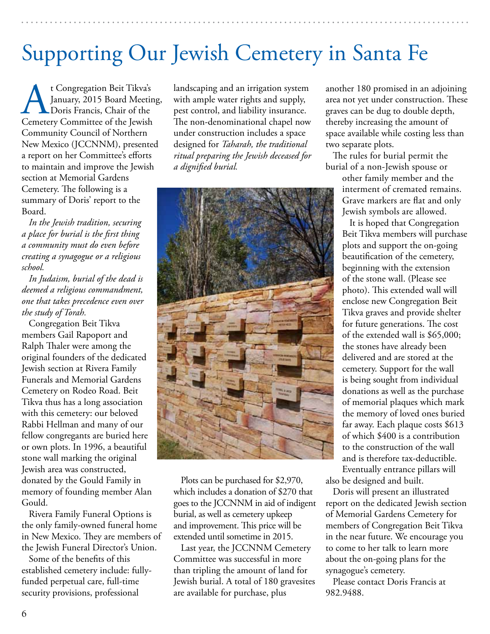# Supporting Our Jewish Cemetery in Santa Fe

t Congregation Beit Tikva's January, 2015 Board Meeting, Doris Francis, Chair of the Cemetery Committee of the Jewish Community Council of Northern New Mexico (JCCNNM), presented a report on her Committee's efforts to maintain and improve the Jewish section at Memorial Gardens Cemetery. The following is a summary of Doris' report to the Board.

*In the Jewish tradition, securing a place for burial is the first thing a community must do even before creating a synagogue or a religious school.*

*In Judaism, burial of the dead is deemed a religious commandment, one that takes precedence even over the study of Torah.*

Congregation Beit Tikva members Gail Rapoport and Ralph Thaler were among the original founders of the dedicated Jewish section at Rivera Family Funerals and Memorial Gardens Cemetery on Rodeo Road. Beit Tikva thus has a long association with this cemetery: our beloved Rabbi Hellman and many of our fellow congregants are buried here or own plots. In 1996, a beautiful stone wall marking the original Jewish area was constructed, donated by the Gould Family in memory of founding member Alan Gould.

Rivera Family Funeral Options is the only family-owned funeral home in New Mexico. They are members of the Jewish Funeral Director's Union.

Some of the benefits of this established cemetery include: fullyfunded perpetual care, full-time security provisions, professional

landscaping and an irrigation system with ample water rights and supply, pest control, and liability insurance. The non-denominational chapel now under construction includes a space designed for *Taharah, the traditional ritual preparing the Jewish deceased for a dignified burial.*



Plots can be purchased for \$2,970, which includes a donation of \$270 that goes to the JCCNNM in aid of indigent burial, as well as cemetery upkeep and improvement. This price will be extended until sometime in 2015.

Last year, the JCCNNM Cemetery Committee was successful in more than tripling the amount of land for Jewish burial. A total of 180 gravesites are available for purchase, plus

another 180 promised in an adjoining area not yet under construction. These graves can be dug to double depth, thereby increasing the amount of space available while costing less than two separate plots.

The rules for burial permit the burial of a non-Jewish spouse or

> other family member and the interment of cremated remains. Grave markers are flat and only Jewish symbols are allowed.

It is hoped that Congregation Beit Tikva members will purchase plots and support the on-going beautification of the cemetery, beginning with the extension of the stone wall. (Please see photo). This extended wall will enclose new Congregation Beit Tikva graves and provide shelter for future generations. The cost of the extended wall is \$65,000; the stones have already been delivered and are stored at the cemetery. Support for the wall is being sought from individual donations as well as the purchase of memorial plaques which mark the memory of loved ones buried far away. Each plaque costs \$613 of which \$400 is a contribution to the construction of the wall and is therefore tax-deductible. Eventually entrance pillars will

also be designed and built.

Doris will present an illustrated report on the dedicated Jewish section of Memorial Gardens Cemetery for members of Congregation Beit Tikva in the near future. We encourage you to come to her talk to learn more about the on-going plans for the synagogue's cemetery.

Please contact Doris Francis at 982.9488.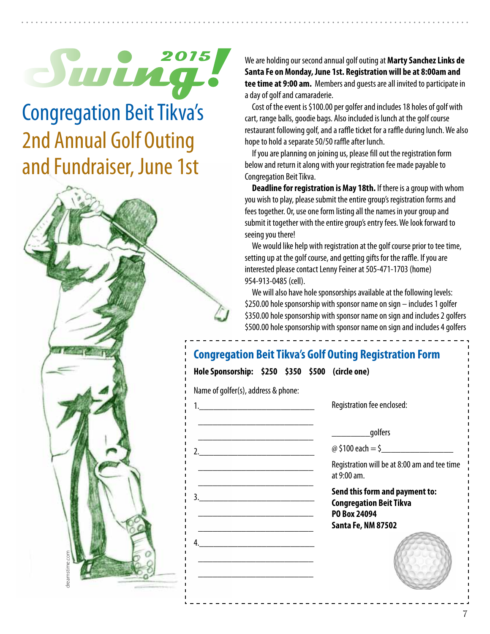# **2015**

Congregation Beit Tikva's 2nd Annual Golf Outing and Fundraiser, June 1st



We are holding our second annual golf outing at **Marty Sanchez Links de Santa Fe on Monday, June 1st. Registration will be at 8:00am and tee time at 9:00 am.** Members and guests are all invited to participate in a day of golf and camaraderie.

Cost of the event is \$100.00 per golfer and includes 18 holes of golf with cart, range balls, goodie bags. Also included is lunch at the golf course restaurant following golf, and a raffle ticket for a raffle during lunch. We also hope to hold a separate 50/50 raffle after lunch.

If you are planning on joining us, please fill out the registration form below and return it along with your registration fee made payable to Congregation Beit Tikva.

**Deadline for registration is May 18th.** If there is a group with whom you wish to play, please submit the entire group's registration forms and fees together. Or, use one form listing all the names in your group and submit it together with the entire group's entry fees. We look forward to seeing you there!

We would like help with registration at the golf course prior to tee time, setting up at the golf course, and getting gifts for the raffle. If you are interested please contact Lenny Feiner at 505-471-1703 (home) 954-913-0485 (cell).

We will also have hole sponsorships available at the following levels: \$250.00 hole sponsorship with sponsor name on sign – includes 1 golfer \$350.00 hole sponsorship with sponsor name on sign and includes 2 golfers \$500.00 hole sponsorship with sponsor name on sign and includes 4 golfers

| Name of golfer(s), address & phone: |                                                                                                               |
|-------------------------------------|---------------------------------------------------------------------------------------------------------------|
|                                     | Registration fee enclosed:                                                                                    |
|                                     | golfers                                                                                                       |
| 2.                                  | @ \$100 each = \$                                                                                             |
|                                     | Registration will be at 8:00 am and tee time<br>at 9:00 am.                                                   |
|                                     | Send this form and payment to:<br><b>Congregation Beit Tikva</b><br>PO Box 24094<br><b>Santa Fe, NM 87502</b> |
|                                     |                                                                                                               |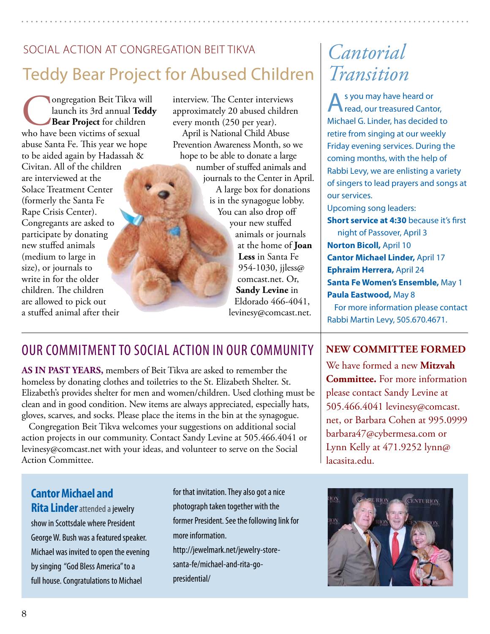# social action at congregation beit tikva Teddy Bear Project for Abused Children

Congregation Beit Tikva will<br>
launch its 3rd annual Teddy<br>
Bear Project for children<br>
who have been victims of sexual launch its 3rd annual **Teddy Bear Project** for children abuse Santa Fe. This year we hope to be aided again by Hadassah & Civitan. All of the children are interviewed at the Solace Treatment Center (formerly the Santa Fe Rape Crisis Center). Congregants are asked to participate by donating new stuffed animals (medium to large in size), or journals to write in for the older children. The children are allowed to pick out a stuffed animal after their

interview. The Center interviews approximately 20 abused children every month (250 per year). April is National Child Abuse Prevention Awareness Month, so we hope to be able to donate a large number of stuffed animals and journals to the Center in April. A large box for donations is in the synagogue lobby. You can also drop off your new stuffed animals or journals at the home of **Joan Less** in Santa Fe 954-1030, jjless@ comcast.net. Or, **Sandy Levine** in Eldorado 466-4041,

## levinesy@comcast.net.

# *Cantorial Transition*

A s you may have heard or<br> **A** read, our treasured Cantor, Michael G. Linder, has decided to retire from singing at our weekly Friday evening services. During the coming months, with the help of Rabbi Levy, we are enlisting a variety of singers to lead prayers and songs at our services.

Upcoming song leaders:

**Short service at 4:30** because it's first

night of Passover, April 3 **Norton Bicoll,** April 10 **Cantor Michael Linder,** April 17 **Ephraim Herrera,** April 24 **Santa Fe Women's Ensemble,** May 1 **Paula Eastwood,** May 8

For more information please contact Rabbi Martin Levy, 505.670.4671.

## our commitment to social action in our community

**As in past years,** members of Beit Tikva are asked to remember the homeless by donating clothes and toiletries to the St. Elizabeth Shelter. St. Elizabeth's provides shelter for men and women/children. Used clothing must be clean and in good condition. New items are always appreciated, especially hats, gloves, scarves, and socks. Please place the items in the bin at the synagogue.

Congregation Beit Tikva welcomes your suggestions on additional social action projects in our community. Contact Sandy Levine at 505.466.4041 or levinesy@comcast.net with your ideas, and volunteer to serve on the Social Action Committee.

**Cantor Michael and Rita Linder**attended a jewelry show in Scottsdale where President George W. Bush was a featured speaker. Michael was invited to open the evening by singing "God Bless America" to a full house. Congratulations to Michael

for that invitation. They also got a nice photograph taken together with the former President. See the following link for more information. http://jewelmark.net/jewelry-storesanta-fe/michael-and-rita-go-

presidential/

## **New Committee formed**

We have formed a new **Mitzvah Committee.** For more information please contact Sandy Levine at 505.466.4041 levinesy@comcast. net, or Barbara Cohen at 995.0999 barbara47@cybermesa.com or Lynn Kelly at 471.9252 lynn@ lacasita.edu.

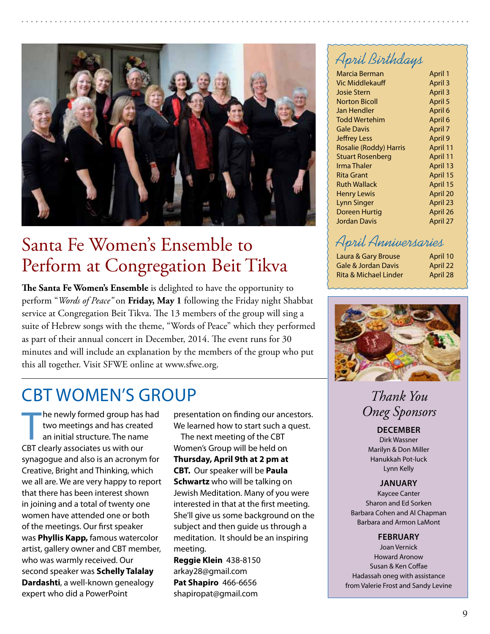

## Santa Fe Women's Ensemble to Perform at Congregation Beit Tikva

**The Santa Fe Women's Ensemble** is delighted to have the opportunity to perform "*Words of Peace"* on **Friday, May 1** following the Friday night Shabbat service at Congregation Beit Tikva. The 13 members of the group will sing a suite of Hebrew songs with the theme, "Words of Peace" which they performed as part of their annual concert in December, 2014. The event runs for 30 minutes and will include an explanation by the members of the group who put this all together. Visit SFWE online at www.sfwe.org.

## CBT Women's Group

The newly formed group has<br>two meetings and has create<br>an initial structure. The name<br>CBT clearly associates us with our he newly formed group has had two meetings and has created an initial structure. The name synagogue and also is an acronym for Creative, Bright and Thinking, which we all are. We are very happy to report that there has been interest shown in joining and a total of twenty one women have attended one or both of the meetings. Our first speaker was **Phyllis Kapp,** famous watercolor artist, gallery owner and CBT member, who was warmly received. Our second speaker was **Schelly Talalay Dardashti**, a well-known genealogy expert who did a PowerPoint

presentation on finding our ancestors. We learned how to start such a quest.

The next meeting of the CBT Women's Group will be held on **Thursday, April 9th at 2 pm at CBT.** Our speaker will be **Paula Schwartz** who will be talking on Jewish Meditation. Many of you were interested in that at the first meeting. She'll give us some background on the subject and then guide us through a meditation. It should be an inspiring meeting.

**Reggie Klein** 438-8150 arkay28@gmail.com **Pat Shapiro** 466-6656 shapiropat@gmail.com

## April Birthdays

| April 1  |
|----------|
| April 3  |
| April 3  |
| April 5  |
| April 6  |
| April 6  |
| April 7  |
| April 9  |
| April 11 |
| April 11 |
| April 13 |
| April 15 |
| April 15 |
| April 20 |
| April 23 |
| April 26 |
| April 27 |
|          |

## April Anniversaries

| Laura & Gary Brouse              | April 10 |
|----------------------------------|----------|
| <b>Gale &amp; Jordan Davis</b>   | April 22 |
| <b>Rita &amp; Michael Linder</b> | April 28 |



## *Thank You Oneg Sponsors*

### **December**

Dirk Wassner Marilyn & Don Miller Hanukkah Pot-luck Lynn Kelly

#### **January**

Kaycee Canter Sharon and Ed Sorken Barbara Cohen and Al Chapman Barbara and Armon LaMont

#### **february**

Joan Vernick Howard Aronow Susan & Ken Coffae Hadassah oneg with assistance from Valerie Frost and Sandy Levine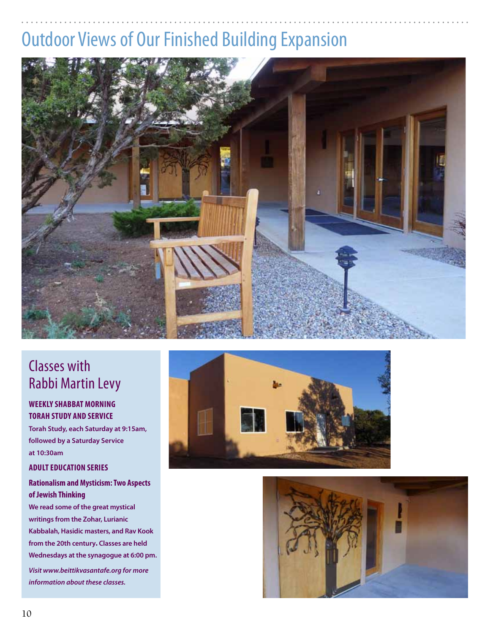# Outdoor Views of Our Finished Building Expansion



## Classes with Rabbi Martin Levy

## **Weekly Shabbat morning Torah study and Service**

**Torah Study, each Saturday at 9:15am, followed by a Saturday Service at 10:30am**

## **Adult Education Series**

## **Rationalism and Mysticism: Two Aspects of Jewish Thinking**

**We read some of the great mystical writings from the Zohar, Lurianic Kabbalah, Hasidic masters, and Rav Kook from the 20th century. Classes are held Wednesdays at the synagogue at 6:00 pm.**

*Visit www.beittikvasantafe.org for more information about these classes.*



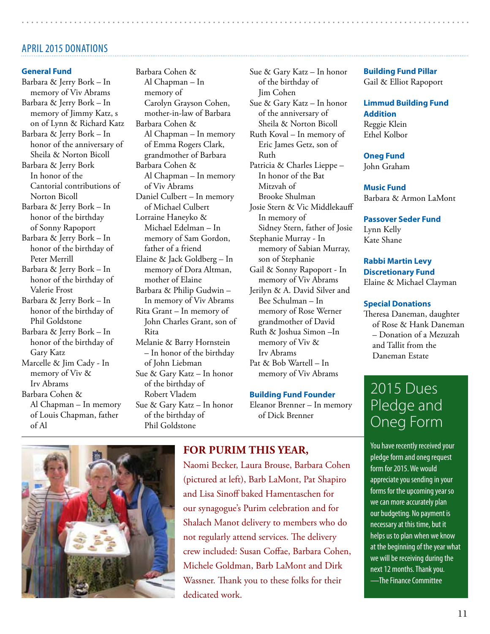## **APRIL 2015 DONATIONS**

#### **General Fund**

Barbara & Jerry Bork – In memory of Viv Abrams Barbara & Jerry Bork – In memory of Jimmy Katz, s on of Lynn & Richard Katz Barbara & Jerry Bork – In honor of the anniversary of Sheila & Norton Bicoll Barbara & Jerry Bork In honor of the Cantorial contributions of Norton Bicoll Barbara & Jerry Bork – In honor of the birthday of Sonny Rapoport Barbara & Jerry Bork – In honor of the birthday of Peter Merrill Barbara & Jerry Bork – In honor of the birthday of Valerie Frost Barbara & Jerry Bork – In honor of the birthday of Phil Goldstone Barbara & Jerry Bork – In honor of the birthday of Gary Katz Marcelle & Jim Cady - In memory of Viv & Irv Abrams Barbara Cohen & Al Chapman – In memory of Louis Chapman, father of Al

Barbara Cohen & Al Chapman – In memory of Carolyn Grayson Cohen, mother-in-law of Barbara Barbara Cohen & Al Chapman – In memory of Emma Rogers Clark, grandmother of Barbara Barbara Cohen & Al Chapman – In memory of Viv Abrams Daniel Culbert – In memory of Michael Culbert Lorraine Haneyko & Michael Edelman – In memory of Sam Gordon, father of a friend Elaine & Jack Goldberg – In memory of Dora Altman, mother of Elaine Barbara & Philip Gudwin – In memory of Viv Abrams Rita Grant – In memory of John Charles Grant, son of Rita Melanie & Barry Hornstein – In honor of the birthday of John Liebman Sue & Gary Katz – In honor of the birthday of Robert Vladem Sue & Gary Katz – In honor

> of the birthday of Phil Goldstone

Sue & Gary Katz – In honor of the birthday of Jim Cohen Sue & Gary Katz – In honor of the anniversary of Sheila & Norton Bicoll Ruth Koval – In memory of Eric James Getz, son of Ruth Patricia & Charles Lieppe – In honor of the Bat Mitzvah of Brooke Shulman Josie Stern & Vic Middlekauff In memory of Sidney Stern, father of Josie Stephanie Murray - In memory of Sabian Murray, son of Stephanie Gail & Sonny Rapoport - In memory of Viv Abrams Jerilyn & A. David Silver and Bee Schulman – In memory of Rose Werner grandmother of David Ruth & Joshua Simon –In memory of Viv & Irv Abrams Pat & Bob Wartell – In

memory of Viv Abrams

#### **Building Fund Founder**

Eleanor Brenner – In memory of Dick Brenner

**Building Fund Pillar**

Gail & Elliot Rapoport

**Limmud Building Fund Addition** Reggie Klein Ethel Kolbor

#### **Oneg Fund**

John Graham

**Music Fund** Barbara & Armon LaMont

**Passover Seder Fund** Lynn Kelly Kate Shane

#### **Rabbi Martin Levy Discretionary Fund** Elaine & Michael Clayman

#### **Special Donations**

Theresa Daneman, daughter of Rose & Hank Daneman – Donation of a Mezuzah and Tallit from the Daneman Estate

## 2015 Dues Pledge and Oneg Form

You have recently received your pledge form and oneg request form for 2015. We would appreciate you sending in your forms for the upcoming year so we can more accurately plan our budgeting. No payment is necessary at this time, but it helps us to plan when we know at the beginning of the year what we will be receiving during the next 12 months. Thank you. —The Finance Committee



## **For Purim this year,**

Naomi Becker, Laura Brouse, Barbara Cohen (pictured at left), Barb LaMont, Pat Shapiro and Lisa Sinoff baked Hamentaschen for our synagogue's Purim celebration and for Shalach Manot delivery to members who do not regularly attend services. The delivery crew included: Susan Coffae, Barbara Cohen, Michele Goldman, Barb LaMont and Dirk Wassner. Thank you to these folks for their dedicated work.